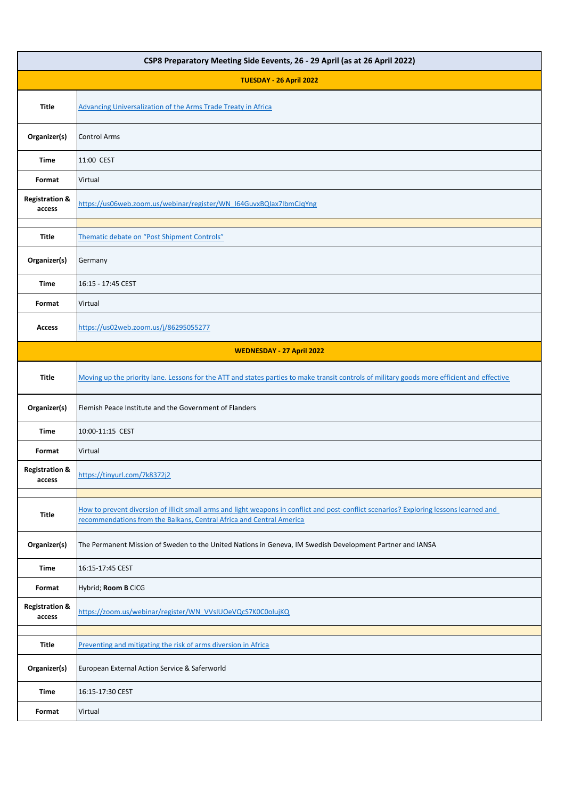| CSP8 Preparatory Meeting Side Eevents, 26 - 29 April (as at 26 April 2022) |                                                                                                                                                                                                                 |  |
|----------------------------------------------------------------------------|-----------------------------------------------------------------------------------------------------------------------------------------------------------------------------------------------------------------|--|
| TUESDAY - 26 April 2022                                                    |                                                                                                                                                                                                                 |  |
| <b>Title</b>                                                               | Advancing Universalization of the Arms Trade Treaty in Africa                                                                                                                                                   |  |
| Organizer(s)                                                               | <b>Control Arms</b>                                                                                                                                                                                             |  |
| Time                                                                       | 11:00 CEST                                                                                                                                                                                                      |  |
| Format                                                                     | Virtual                                                                                                                                                                                                         |  |
| <b>Registration &amp;</b><br>access                                        | https://us06web.zoom.us/webinar/register/WN_I64GuvxBQIax7IbmCJqYng                                                                                                                                              |  |
| <b>Title</b>                                                               | Thematic debate on "Post Shipment Controls"                                                                                                                                                                     |  |
| Organizer(s)                                                               | Germany                                                                                                                                                                                                         |  |
| Time                                                                       | 16:15 - 17:45 CEST                                                                                                                                                                                              |  |
| Format                                                                     | Virtual                                                                                                                                                                                                         |  |
| <b>Access</b>                                                              | https://us02web.zoom.us/j/86295055277                                                                                                                                                                           |  |
| WEDNESDAY - 27 April 2022                                                  |                                                                                                                                                                                                                 |  |
| <b>Title</b>                                                               | Moving up the priority lane. Lessons for the ATT and states parties to make transit controls of military goods more efficient and effective                                                                     |  |
| Organizer(s)                                                               | Flemish Peace Institute and the Government of Flanders                                                                                                                                                          |  |
| Time                                                                       | 10:00-11:15 CEST                                                                                                                                                                                                |  |
| Format                                                                     | Virtual                                                                                                                                                                                                         |  |
| <b>Registration &amp;</b><br>access                                        | https://tinyurl.com/7k8372j2                                                                                                                                                                                    |  |
| <b>Title</b>                                                               | How to prevent diversion of illicit small arms and light weapons in conflict and post-conflict scenarios? Exploring lessons learned and<br>recommendations from the Balkans, Central Africa and Central America |  |
| Organizer(s)                                                               | The Permanent Mission of Sweden to the United Nations in Geneva, IM Swedish Development Partner and IANSA                                                                                                       |  |
| Time                                                                       | 16:15-17:45 CEST                                                                                                                                                                                                |  |
| Format                                                                     | Hybrid; Room B CICG                                                                                                                                                                                             |  |
| <b>Registration &amp;</b><br>access                                        | https://zoom.us/webinar/register/WN_VVsIUOeVQcS7K0C0olujKQ                                                                                                                                                      |  |
| <b>Title</b>                                                               | Preventing and mitigating the risk of arms diversion in Africa                                                                                                                                                  |  |
| Organizer(s)                                                               | European External Action Service & Saferworld                                                                                                                                                                   |  |
| Time                                                                       | 16:15-17:30 CEST                                                                                                                                                                                                |  |
| Format                                                                     | Virtual                                                                                                                                                                                                         |  |